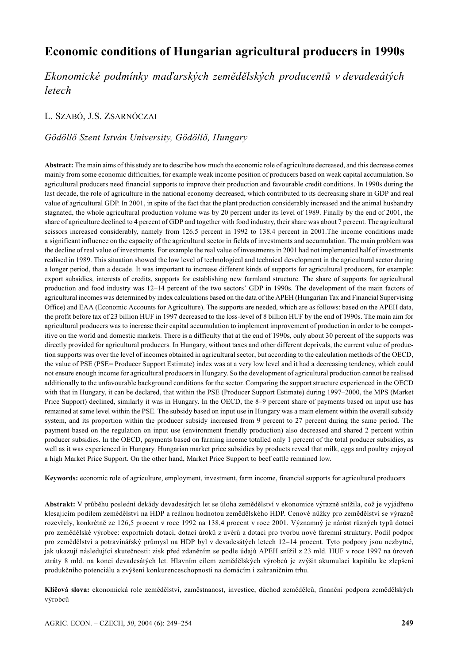# **Economic conditions of Hungarian agricultural producers in 1990s**

*Ekonomické podmínky maďarských zemědělských producentů v devadesátých letech*

L. SZABÓ, J.S. ZSARNÓCZAI

*Gödöllő Szent István University, Gödöllő, Hungary*

**Abstract:** The main aims of this study are to describe how much the economic role of agriculture decreased, and this decrease comes mainly from some economic difficulties, for example weak income position of producers based on weak capital accumulation. So agricultural producers need financial supports to improve their production and favourable credit conditions. In 1990s during the last decade, the role of agriculture in the national economy decreased, which contributed to its decreasing share in GDP and real value of agricultural GDP. In 2001, in spite of the fact that the plant production considerably increased and the animal husbandry stagnated, the whole agricultural production volume was by 20 percent under its level of 1989. Finally by the end of 2001, the share of agriculture declined to 4 percent of GDP and together with food industry, their share was about 7 percent. The agricultural scissors increased considerably, namely from 126.5 percent in 1992 to 138.4 percent in 2001.The income conditions made a significant influence on the capacity of the agricultural sector in fields of investments and accumulation. The main problem was the decline of real value of investments. For example the real value of investments in 2001 had not implemented half of investments realised in 1989. This situation showed the low level of technological and technical development in the agricultural sector during a longer period, than a decade. It was important to increase different kinds of supports for agricultural producers, for example: export subsidies, interests of credits, supports for establishing new farmland structure. The share of supports for agricultural production and food industry was 12–14 percent of the two sectors' GDP in 1990s. The development of the main factors of agricultural incomes was determined by index calculations based on the data of the APEH (Hungarian Tax and Financial Supervising Office) and EAA (Economic Accounts for Agriculture). The supports are needed, which are as follows: based on the APEH data, the profit before tax of 23 billion HUF in 1997 decreased to the loss-level of 8 billion HUF by the end of 1990s. The main aim for agricultural producers was to increase their capital accumulation to implement improvement of production in order to be competitive on the world and domestic markets. There is a difficulty that at the end of 1990s, only about 30 percent of the supports was directly provided for agricultural producers. In Hungary, without taxes and other different deprivals, the current value of production supports was over the level of incomes obtained in agricultural sector, but according to the calculation methods of the OECD, the value of PSE (PSE= Producer Support Estimate) index was at a very low level and it had a decreasing tendency, which could not ensure enough income for agricultural producers in Hungary. So the development of agricultural production cannot be realised additionally to the unfavourable background conditions for the sector. Comparing the support structure experienced in the OECD with that in Hungary, it can be declared, that within the PSE (Producer Support Estimate) during 1997–2000, the MPS (Market Price Support) declined, similarly it was in Hungary. In the OECD, the 8–9 percent share of payments based on input use has remained at same level within the PSE. The subsidy based on input use in Hungary was a main element within the overall subsidy system, and its proportion within the producer subsidy increased from 9 percent to 27 percent during the same period. The payment based on the regulation on input use (environment friendly production) also decreased and shared 2 percent within producer subsidies. In the OECD, payments based on farming income totalled only 1 percent of the total producer subsidies, as well as it was experienced in Hungary. Hungarian market price subsidies by products reveal that milk, eggs and poultry enjoyed a high Market Price Support. On the other hand, Market Price Support to beef cattle remained low.

**Keywords:** economic role of agriculture, employment, investment, farm income, financial supports for agricultural producers

**Abstrakt:** V průběhu poslední dekády devadesátých let se úloha zemědělství v ekonomice výrazně snížila, což je vyjádřeno klesajícím podílem zemědělství na HDP a reálnou hodnotou zemědělského HDP. Cenové nůžky pro zemědělství se výrazně rozevřely, konkrétně ze 126,5 procent v roce 1992 na 138,4 procent v roce 2001. Významný je nárůst různých typů dotací pro zemědělské výrobce: exportních dotací, dotací úroků z úvěrů a dotací pro tvorbu nové faremní struktury. Podíl podpor pro zemědělství a potravinářský průmysl na HDP byl v devadesátých letech 12–14 procent. Tyto podpory jsou nezbytné, jak ukazují následující skutečnosti: zisk před zdaněním se podle údajů APEH snížil z 23 mld. HUF v roce 1997 na úroveň ztráty 8 mld. na konci devadesátých let. Hlavním cílem zemědělských výrobců je zvýšit akumulaci kapitálu ke zlepšení produkčního potenciálu a zvýšení konkurenceschopnosti na domácím i zahraničním trhu.

**Klíčová slova:** ekonomická role zemědělství, zaměstnanost, investice, důchod zemědělců, finanční podpora zemědělských výrobců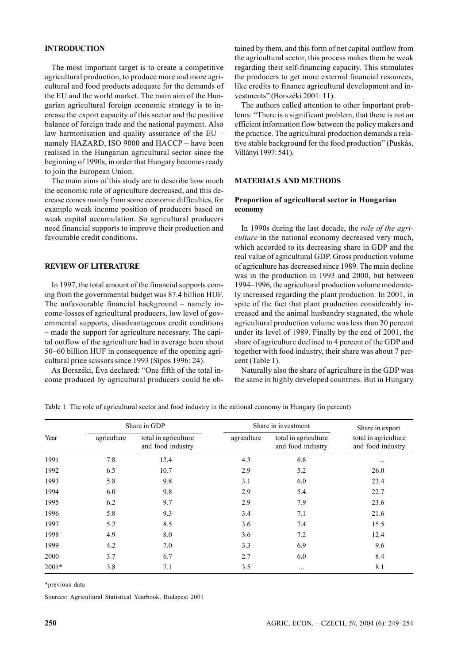# **INTRODUCTION**

The most important target is to create a competitive agricultural production, to produce more and more agricultural and food products adequate for the demands of the EU and the world market. The main aim of the Hungarian agricultural foreign economic strategy is to increase the export capacity of this sector and the positive balance of foreign trade and the national payment. Also law harmonisation and quality assurance of the EU – namely HAZARD, ISO 9000 and HACCP – have been realised in the Hungarian agricultural sector since the beginning of 1990s, in order that Hungary becomes ready to join the European Union.

The main aims of this study are to describe how much the economic role of agriculture decreased, and this decrease comes mainly from some economic difficulties, for example weak income position of producers based on weak capital accumulation. So agricultural producers need financial supports to improve their production and favourable credit conditions.

## **REVIEW OF LITERATURE**

In 1997, the total amount of the financial supports coming from the governmental budget was 87.4 billion HUF. The unfavourable financial background – namely income-losses of agricultural producers, low level of governmental supports, disadvantageous credit conditions – made the support for agriculture necessary. The capital outflow of the agriculture had in average been about 50–60 billion HUF in consequence of the opening agricultural price scissors since 1993 (Sípos 1996: 24).

As Borszéki, Éva declared: "One fifth of the total income produced by agricultural producers could be obtained by them, and this form of net capital outflow from the agricultural sector, this process makes them be weak regarding their self-financing capacity. This stimulates the producers to get more external financial resources, like credits to finance agricultural development and investments" (Borszéki 2001: 11).

The authors called attention to other important problems: "There is a significant problem, that there is not an efficient information flow between the policy makers and the practice. The agricultural production demands a relative stable background for the food production" (Puskás, Villányi 1997: 541).

## **MATERIALS AND METHODS**

# **Proportion of agricultural sector in Hungarian economy**

In 1990s during the last decade, the *role of the agriculture* in the national economy decreased very much, which accorded to its decreasing share in GDP and the real value of agricultural GDP. Gross production volume of agriculture has decreased since 1989. The main decline was in the production in 1993 and 2000, but between 1994–1996, the agricultural production volume moderately increased regarding the plant production. In 2001, in spite of the fact that plant production considerably increased and the animal husbandry stagnated, the whole agricultural production volume was less than 20 percent under its level of 1989. Finally by the end of 2001, the share of agriculture declined to 4 percent of the GDP and together with food industry, their share was about 7 percent (Table 1).

Naturally also the share of agriculture in the GDP was the same in highly developed countries. But in Hungary

Table 1. The role of agricultural sector and food industry in the national economy in Hungary (in percent)

|         | Share in GDP |                                           | Share in investment | Share in export                           |                                           |
|---------|--------------|-------------------------------------------|---------------------|-------------------------------------------|-------------------------------------------|
| Year    | agriculture  | total in agriculture<br>and food industry | agriculture         | total in agriculture<br>and food industry | total in agriculture<br>and food industry |
| 1991    | 7.8          | 12.4                                      | 4.3                 | 6.8                                       |                                           |
| 1992    | 6.5          | 10.7                                      | 2.9                 | 5.2                                       | 26.0                                      |
| 1993    | 5.8          | 9.8                                       | 3.1                 | 6.0                                       | 23.4                                      |
| 1994    | 6.0          | 9.8                                       | 2.9                 | 5.4                                       | 22.7                                      |
| 1995    | 6.2          | 9.7                                       | 2.9                 | 7.9                                       | 23.6                                      |
| 1996    | 5.8          | 9.3                                       | 3.4                 | 7.1                                       | 21.6                                      |
| 1997    | 5.2          | 8.5                                       | 3.6                 | 7.4                                       | 15.5                                      |
| 1998    | 4.9          | 8.0                                       | 3.6                 | 7.2                                       | 12.4                                      |
| 1999    | 4.2          | 7.0                                       | 3.3                 | 6.9                                       | 9.6                                       |
| 2000    | 3.7          | 6.7                                       | 2.7                 | 6.0                                       | 8.4                                       |
| $2001*$ | 3.8          | 7.1                                       | 3.5                 | $\cdots$                                  | 8.1                                       |

\*previous data

Sources: Agricultural Statistical Yearbook, Budapest 2001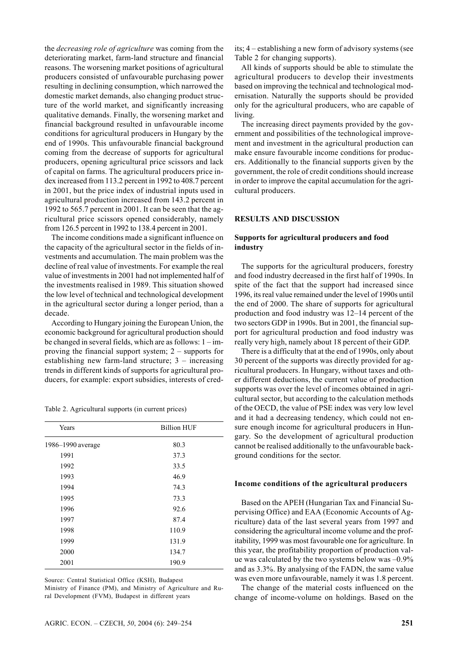the *decreasing role of agriculture* was coming from the deteriorating market, farm-land structure and financial reasons. The worsening market positions of agricultural producers consisted of unfavourable purchasing power resulting in declining consumption, which narrowed the domestic market demands, also changing product structure of the world market, and significantly increasing qualitative demands. Finally, the worsening market and financial background resulted in unfavourable income conditions for agricultural producers in Hungary by the end of 1990s. This unfavourable financial background coming from the decrease of supports for agricultural producers, opening agricultural price scissors and lack of capital on farms. The agricultural producers price index increased from 113.2 percent in 1992 to 408.7 percent in 2001, but the price index of industrial inputs used in agricultural production increased from 143.2 percent in 1992 to 565.7 percent in 2001. It can be seen that the agricultural price scissors opened considerably, namely from 126.5 percent in 1992 to 138.4 percent in 2001.

The income conditions made a significant influence on the capacity of the agricultural sector in the fields of investments and accumulation. The main problem was the decline of real value of investments. For example the real value of investments in 2001 had not implemented half of the investments realised in 1989. This situation showed the low level of technical and technological development in the agricultural sector during a longer period, than a decade.

According to Hungary joining the European Union, the economic background for agricultural production should be changed in several fields, which are as follows: 1 – improving the financial support system; 2 – supports for establishing new farm-land structure; 3 – increasing trends in different kinds of supports for agricultural producers, for example: export subsidies, interests of cred-

Table 2. Agricultural supports (in current prices)

| Years             | <b>Billion HUF</b> |
|-------------------|--------------------|
| 1986-1990 average | 80.3               |
| 1991              | 37.3               |
| 1992              | 33.5               |
| 1993              | 46.9               |
| 1994              | 74.3               |
| 1995              | 73.3               |
| 1996              | 92.6               |
| 1997              | 87.4               |
| 1998              | 110.9              |
| 1999              | 131.9              |
| 2000              | 134.7              |
| 2001              | 190.9              |

Source: Central Statistical Office (KSH), Budapest

Ministry of Finance (PM), and Ministry of Agriculture and Rural Development (FVM), Budapest in different years

its; 4 – establishing a new form of advisory systems (see Table 2 for changing supports).

All kinds of supports should be able to stimulate the agricultural producers to develop their investments based on improving the technical and technological modernisation. Naturally the supports should be provided only for the agricultural producers, who are capable of living.

The increasing direct payments provided by the government and possibilities of the technological improvement and investment in the agricultural production can make ensure favourable income conditions for producers. Additionally to the financial supports given by the government, the role of credit conditions should increase in order to improve the capital accumulation for the agricultural producers.

## **RESULTS AND DISCUSSION**

## **Supports for agricultural producers and food industry**

The supports for the agricultural producers, forestry and food industry decreased in the first half of 1990s. In spite of the fact that the support had increased since 1996, its real value remained under the level of 1990s until the end of 2000. The share of supports for agricultural production and food industry was 12–14 percent of the two sectors GDP in 1990s. But in 2001, the financial support for agricultural production and food industry was really very high, namely about 18 percent of their GDP.

There is a difficulty that at the end of 1990s, only about 30 percent of the supports was directly provided for agricultural producers. In Hungary, without taxes and other different deductions, the current value of production supports was over the level of incomes obtained in agricultural sector, but according to the calculation methods of the OECD, the value of PSE index was very low level and it had a decreasing tendency, which could not ensure enough income for agricultural producers in Hungary. So the development of agricultural production cannot be realised additionally to the unfavourable background conditions for the sector.

#### **Income conditions of the agricultural producers**

Based on the APEH (Hungarian Tax and Financial Supervising Office) and EAA (Economic Accounts of Agriculture) data of the last several years from 1997 and considering the agricultural income volume and the profitability, 1999 was most favourable one for agriculture. In this year, the profitability proportion of production value was calculated by the two systems below was –0.9% and as 3.3%. By analysing of the FADN, the same value was even more unfavourable, namely it was 1.8 percent.

The change of the material costs influenced on the change of income-volume on holdings. Based on the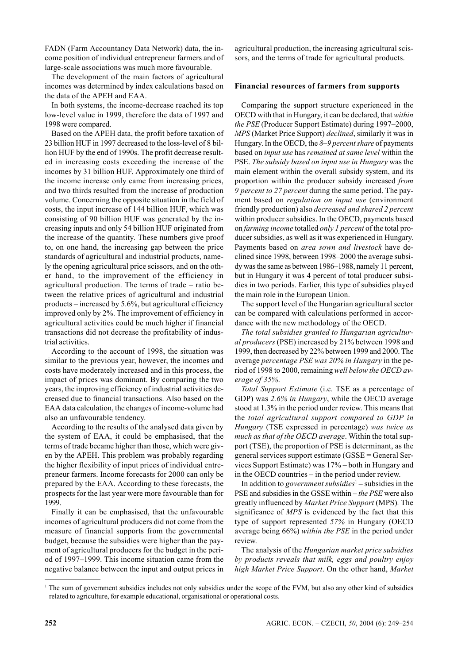FADN (Farm Accountancy Data Network) data, the income position of individual entrepreneur farmers and of large-scale associations was much more favourable.

The development of the main factors of agricultural incomes was determined by index calculations based on the data of the APEH and EAA.

In both systems, the income-decrease reached its top low-level value in 1999, therefore the data of 1997 and 1998 were compared.

Based on the APEH data, the profit before taxation of 23 billion HUF in 1997 decreased to the loss-level of 8 billion HUF by the end of 1990s. The profit decrease resulted in increasing costs exceeding the increase of the incomes by 31 billion HUF. Approximately one third of the income increase only came from increasing prices, and two thirds resulted from the increase of production volume. Concerning the opposite situation in the field of costs, the input increase of 144 billion HUF, which was consisting of 90 billion HUF was generated by the increasing inputs and only 54 billion HUF originated from the increase of the quantity. These numbers give proof to, on one hand, the increasing gap between the price standards of agricultural and industrial products, namely the opening agricultural price scissors, and on the other hand, to the improvement of the efficiency in agricultural production. The terms of trade – ratio between the relative prices of agricultural and industrial products – increased by 5.6%, but agricultural efficiency improved only by 2%. The improvement of efficiency in agricultural activities could be much higher if financial transactions did not decrease the profitability of industrial activities.

According to the account of 1998, the situation was similar to the previous year, however, the incomes and costs have moderately increased and in this process, the impact of prices was dominant. By comparing the two years, the improving efficiency of industrial activities decreased due to financial transactions. Also based on the EAA data calculation, the changes of income-volume had also an unfavourable tendency.

According to the results of the analysed data given by the system of EAA, it could be emphasised, that the terms of trade became higher than those, which were given by the APEH. This problem was probably regarding the higher flexibility of input prices of individual entrepreneur farmers. Income forecasts for 2000 can only be prepared by the EAA. According to these forecasts, the prospects for the last year were more favourable than for 1999.

Finally it can be emphasised, that the unfavourable incomes of agricultural producers did not come from the measure of financial supports from the governmental budget, because the subsidies were higher than the payment of agricultural producers for the budget in the period of 1997–1999. This income situation came from the negative balance between the input and output prices in agricultural production, the increasing agricultural scissors, and the terms of trade for agricultural products.

## **Financial resources of farmers from supports**

Comparing the support structure experienced in the OECD with that in Hungary, it can be declared, that *within the PSE* (Producer Support Estimate) during 1997–2000, *MPS* (Market Price Support) *declined*, similarly it was in Hungary. In the OECD, the *8–9 percent share* of payments based on *input use* has *remained at same level* within the PSE. *The subsidy based on input use in Hungary* was the main element within the overall subsidy system, and its proportion within the producer subsidy increased *from 9 percent to 27 percent* during the same period. The payment based on *regulation on input use* (environment friendly production) also *decreased and shared 2 percent* within producer subsidies. In the OECD, payments based on *farming income* totalled *only 1 percent* of the total producer subsidies, as well as it was experienced in Hungary. Payments based on *area sown and livestock* have declined since 1998, between 1998–2000 the average subsidy was the same as between 1986–1988, namely 11 percent, but in Hungary it was 4 percent of total producer subsidies in two periods. Earlier, this type of subsidies played the main role in the European Union.

The support level of the Hungarian agricultural sector can be compared with calculations performed in accordance with the new methodology of the OECD.

*The total subsidies granted to Hungarian agricultural producers* (PSE) increased by 21% between 1998 and 1999, then decreased by 22% between 1999 and 2000. The average *percentage PSE was 20% in Hungary* in the period of 1998 to 2000, remaining *well below the OECD average of 35%*.

*Total Support Estimate* (i.e. TSE as a percentage of GDP) was *2.6% in Hungary*, while the OECD average stood at 1.3% in the period under review. This means that the *total agricultural support compared to GDP in Hungary* (TSE expressed in percentage) *was twice as much as that of the OECD average*. Within the total support (TSE), the proportion of PSE is determinant, as the general services support estimate (GSSE = General Services Support Estimate) was 17% – both in Hungary and in the OECD countries – in the period under review.

In addition to *government subsidies*<sup>1</sup>  **–** subsidies in the PSE and subsidies in the GSSE within – *the PSE* were also greatly influenced by *Market Price Support* (MPS)*.* The significance of *MPS* is evidenced by the fact that this type of support represented *57%* in Hungary (OECD average being 66%) *within the PSE* in the period under review.

The analysis of the *Hungarian market price subsidies by products reveals that milk, eggs and poultry enjoy high Market Price Support*. On the other hand, *Market*

<sup>1</sup> The sum of government subsidies includes not only subsidies under the scope of the FVM, but also any other kind of subsidies related to agriculture, for example educational, organisational or operational costs.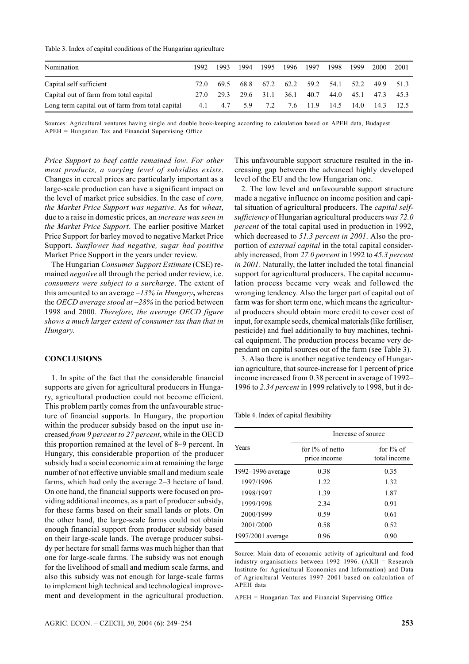#### Table 3. Index of capital conditions of the Hungarian agriculture

| Nomination                                       | 1992. | 1993 | 1994                | 1995 | 1996 1997                     |      | 1998 | 1999 | 2000    | -2001     |
|--------------------------------------------------|-------|------|---------------------|------|-------------------------------|------|------|------|---------|-----------|
| Capital self sufficient                          | 72. O |      |                     |      | 69.5 68.8 67.2 62.2 59.2 54.1 |      |      | 52.2 |         | 49.9 51.3 |
| Capital out of farm from total capital           |       |      | 27.0 29.3 29.6 31.1 |      | $36.1 -$                      | 40.7 | 44.0 | 45.1 | 473 453 |           |
| Long term capital out of farm from total capital | 4.1   | 4.7  | 5.9                 |      | 7.2 7.6 11.9 14.5             |      |      | 14.0 | $-14.3$ | - 12.5    |

Sources: Agricultural ventures having single and double book-keeping according to calculation based on APEH data, Budapest APEH = Hungarian Tax and Financial Supervising Office

*Price Support to beef cattle remained low*. *For other meat products, a varying level of subsidies exists*. Changes in cereal prices are particularly important as a large-scale production can have a significant impact on the level of market price subsidies. In the case of *corn, the Market Price Support was negative*. As for *wheat*, due to a raise in domestic prices, an *increase was seen in the Market Price Support*. The earlier positive Market Price Support for barley moved to negative Market Price Support. *Sunflower had negative, sugar had positive* Market Price Support in the years under review.

The Hungarian *Consumer Support Estimate* (CSE) remained *negative* all through the period under review, i.e. *consumers were subject to a surcharge*. The extent of this amounted to an average *–13% in Hungary***,** whereas the *OECD average stood at –28%* in the period between 1998 and 2000. *Therefore, the average OECD figure shows a much larger extent of consumer tax than that in Hungary.*

# **CONCLUSIONS**

1. In spite of the fact that the considerable financial supports are given for agricultural producers in Hungary, agricultural production could not become efficient. This problem partly comes from the unfavourable structure of financial supports. In Hungary, the proportion within the producer subsidy based on the input use increased *from 9 percent to 27 percent*, while in the OECD this proportion remained at the level of 8–9 percent. In Hungary, this considerable proportion of the producer subsidy had a social economic aim at remaining the large number of not effective unviable small and medium scale farms, which had only the average 2–3 hectare of land. On one hand, the financial supports were focused on providing additional incomes, as a part of producer subsidy, for these farms based on their small lands or plots. On the other hand, the large-scale farms could not obtain enough financial support from producer subsidy based on their large-scale lands. The average producer subsidy per hectare for small farms was much higher than that one for large-scale farms. The subsidy was not enough for the livelihood of small and medium scale farms, and also this subsidy was not enough for large-scale farms to implement high technical and technological improvement and development in the agricultural production.

This unfavourable support structure resulted in the increasing gap between the advanced highly developed level of the EU and the low Hungarian one.

2. The low level and unfavourable support structure made a negative influence on income position and capital situation of agricultural producers. The *capital selfsufficiency* of Hungarian agricultural producers *was 72.0 percent* of the total capital used in production in 1992, which decreased to *51.3 percent in 2001*. Also the proportion of *external capital* in the total capital considerably increased, from *27.0 percent* in 1992 to *45.3 percent in 2001*. Naturally, the latter included the total financial support for agricultural producers. The capital accumulation process became very weak and followed the wronging tendency. Also the larger part of capital out of farm was for short term one, which means the agricultural producers should obtain more credit to cover cost of input, for example seeds, chemical materials (like fertiliser, pesticide) and fuel additionally to buy machines, technical equipment. The production process became very dependant on capital sources out of the farm (see Table 3).

3. Also there is another negative tendency of Hungarian agriculture, that source-increase for 1 percent of price income increased from 0.38 percent in average of 1992– 1996 to *2.34 percent* in 1999 relatively to 1998, but it de-

Table 4. Index of capital flexibility

|                   | Increase of source              |                              |  |  |  |
|-------------------|---------------------------------|------------------------------|--|--|--|
| Years             | for 1% of netto<br>price income | for $1\%$ of<br>total income |  |  |  |
| 1992–1996 average | 0.38                            | 0.35                         |  |  |  |
| 1997/1996         | 1.22                            | 1.32                         |  |  |  |
| 1998/1997         | 1.39                            | 1.87                         |  |  |  |
| 1999/1998         | 2.34                            | 0.91                         |  |  |  |
| 2000/1999         | 0.59                            | 0.61                         |  |  |  |
| 2001/2000         | 0.58                            | 0.52                         |  |  |  |
| 1997/2001 average | 0.96                            | 0.90                         |  |  |  |

Source: Main data of economic activity of agricultural and food industry organisations between 1992–1996. (AKII = Research Institute for Agricultural Economics and Information) and Data of Agricultural Ventures 1997–2001 based on calculation of APEH data

APEH = Hungarian Tax and Financial Supervising Office